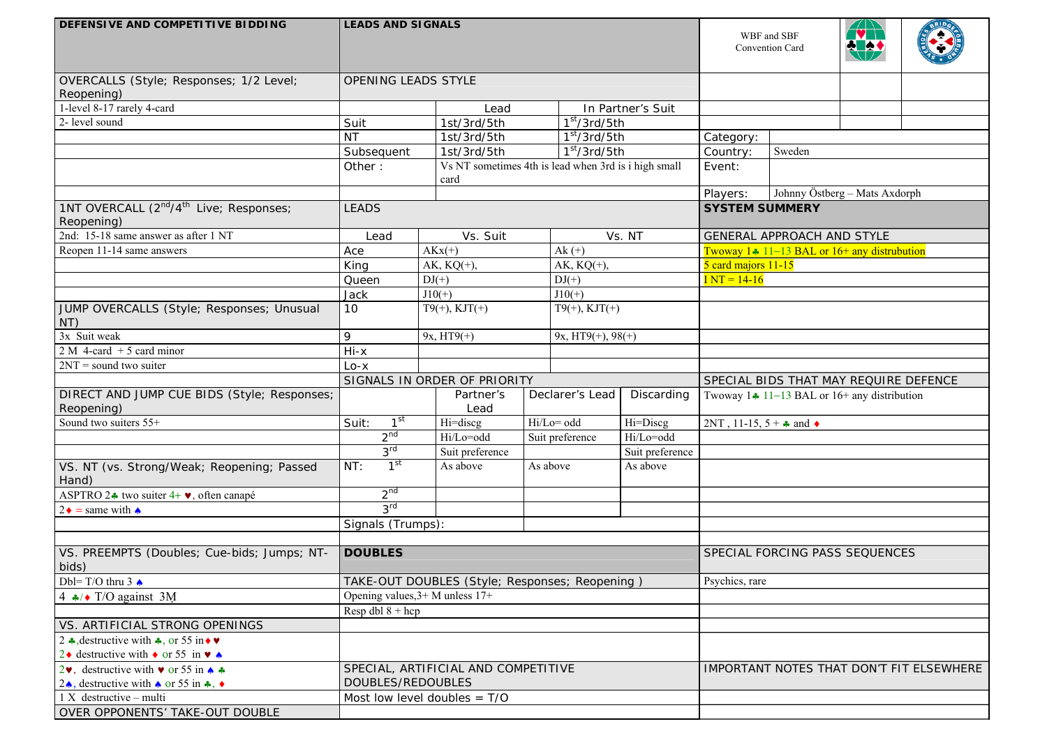| DEFENSIVE AND COMPETITIVE BIDDING                                   | <b>LEADS AND SIGNALS</b>                                                        |          |                        |          |                          |                            | WBF and SBF<br>Convention Card                                     |                                                   |  | BRIDG |
|---------------------------------------------------------------------|---------------------------------------------------------------------------------|----------|------------------------|----------|--------------------------|----------------------------|--------------------------------------------------------------------|---------------------------------------------------|--|-------|
| OVERCALLS (Style; Responses; 1/2 Level;                             | OPENING LEADS STYLE                                                             |          |                        |          |                          |                            |                                                                    |                                                   |  |       |
| Reopening)                                                          |                                                                                 |          |                        |          |                          |                            |                                                                    |                                                   |  |       |
| 1-level 8-17 rarely 4-card<br>2- level sound                        |                                                                                 |          | Lead                   |          | In Partner's Suit        |                            |                                                                    |                                                   |  |       |
|                                                                     | Suit                                                                            |          | 1st/3rd/5th            |          | 1 <sup>st</sup> /3rd/5th |                            |                                                                    |                                                   |  |       |
|                                                                     | <b>NT</b>                                                                       |          | 1st/3rd/5th            |          | 1 <sup>st</sup> /3rd/5th |                            | Category:                                                          | Sweden                                            |  |       |
|                                                                     | Subsequent                                                                      |          | 1st/3rd/5th            |          | 1 <sup>st</sup> /3rd/5th |                            | Country:                                                           |                                                   |  |       |
|                                                                     | Vs NT sometimes 4th is lead when 3rd is i high small<br>Other:<br>card          |          |                        | Event:   |                          |                            |                                                                    |                                                   |  |       |
| 1NT OVERCALL (2nd/4th Live; Responses;                              | <b>LEADS</b>                                                                    |          |                        |          |                          |                            | Johnny Östberg - Mats Axdorph<br>Players:<br><b>SYSTEM SUMMERY</b> |                                                   |  |       |
| Reopening)                                                          |                                                                                 |          |                        |          |                          |                            |                                                                    |                                                   |  |       |
| 2nd: 15-18 same answer as after 1 NT                                | Lead                                                                            | Vs. Suit |                        | Vs. NT   |                          | GENERAL APPROACH AND STYLE |                                                                    |                                                   |  |       |
| Reopen 11-14 same answers                                           | Ace                                                                             |          | $AKx(+)$               |          | $Ak$ $(+)$               |                            | Twoway 14 11-13 BAL or 16+ any distrubution                        |                                                   |  |       |
|                                                                     | King                                                                            |          | $AK$ , $KO(+)$ ,       |          | $AK, KQ(+),$             |                            | 5 card majors 11-15                                                |                                                   |  |       |
|                                                                     | Queen                                                                           |          | $DJ(+)$                |          | $DJ(+)$                  |                            | $INT = 14-16$                                                      |                                                   |  |       |
|                                                                     | Jack                                                                            | $J10(+)$ |                        |          | $J10(+)$                 |                            |                                                                    |                                                   |  |       |
| JUMP OVERCALLS (Style; Responses; Unusual<br>NT)                    | 10                                                                              |          | $T9(+), KJT(+)$        |          | $T9(+), KJT(+)$          |                            |                                                                    |                                                   |  |       |
| 3x Suit weak                                                        | 9                                                                               |          | $9x, HT9(+)$           |          | $9x, HT9(+), 98(+)$      |                            |                                                                    |                                                   |  |       |
| $\overline{2 M 4}$ -card + 5 card minor                             | $Hi - x$                                                                        |          |                        |          |                          |                            |                                                                    |                                                   |  |       |
| $2NT = sound$ two suiter                                            | $Lo - x$                                                                        |          |                        |          |                          |                            |                                                                    |                                                   |  |       |
|                                                                     | SIGNALS IN ORDER OF PRIORITY<br>SPECIAL BIDS THAT MAY REQUIRE DEFENCE           |          |                        |          |                          |                            |                                                                    |                                                   |  |       |
| DIRECT AND JUMP CUE BIDS (Style; Responses;<br>Reopening)           |                                                                                 |          | Partner's<br>Lead      |          | Declarer's Lead          | Discarding                 |                                                                    | Twoway 1 $\div$ 11–13 BAL or 16+ any distribution |  |       |
| Sound two suiters 55+                                               | 1 <sup>st</sup><br>Suit:                                                        |          | $\overline{Hi}$ =discg |          | Hi/Lo= odd               | Hi=Discg                   | 2NT, 11-15, 5 + $\clubsuit$ and $\bullet$                          |                                                   |  |       |
|                                                                     | 2 <sup>nd</sup>                                                                 |          | Hi/Lo=odd              |          | Suit preference          | Hi/Lo=odd                  |                                                                    |                                                   |  |       |
|                                                                     | 3 <sup>rd</sup>                                                                 |          | Suit preference        |          |                          | Suit preference            |                                                                    |                                                   |  |       |
| VS. NT (vs. Strong/Weak; Reopening; Passed<br>Hand)                 | 1 <sup>st</sup><br>NT:                                                          |          | As above               | As above |                          | As above                   |                                                                    |                                                   |  |       |
| ASPTRO 2.4 two suiter $4+ \vee$ , often canapé                      | 2 <sup>nd</sup>                                                                 |          |                        |          |                          |                            |                                                                    |                                                   |  |       |
| $2 \cdot =$ same with $\cdot$                                       | 3 <sup>rd</sup>                                                                 |          |                        |          |                          |                            |                                                                    |                                                   |  |       |
|                                                                     | Signals (Trumps):                                                               |          |                        |          |                          |                            |                                                                    |                                                   |  |       |
| VS. PREEMPTS (Doubles; Cue-bids; Jumps; NT-<br>bids)                | SPECIAL FORCING PASS SEQUENCES<br><b>DOUBLES</b>                                |          |                        |          |                          |                            |                                                                    |                                                   |  |       |
| Dbl= T/O thru $3 \triangle$                                         | Psychics, rare<br>TAKE-OUT DOUBLES (Style; Responses; Reopening)                |          |                        |          |                          |                            |                                                                    |                                                   |  |       |
| 4 $\star$ / $\star$ T/O against 3M                                  | Opening values, $3+$ M unless $17+$                                             |          |                        |          |                          |                            |                                                                    |                                                   |  |       |
|                                                                     | Resp dbl $8 + hcp$                                                              |          |                        |          |                          |                            |                                                                    |                                                   |  |       |
| VS. ARTIFICIAL STRONG OPENINGS                                      |                                                                                 |          |                        |          |                          |                            |                                                                    |                                                   |  |       |
| 2. destructive with $\clubsuit$ , or 55 in $\bullet$ v              |                                                                                 |          |                        |          |                          |                            |                                                                    |                                                   |  |       |
| 2 $\bullet$ destructive with $\bullet$ or 55 in $\bullet$ $\bullet$ |                                                                                 |          |                        |          |                          |                            |                                                                    |                                                   |  |       |
| 2. destructive with $\vee$ or 55 in $\wedge$ +                      | SPECIAL, ARTIFICIAL AND COMPETITIVE<br>IMPORTANT NOTES THAT DON'T FIT ELSEWHERE |          |                        |          |                          |                            |                                                                    |                                                   |  |       |
| 2. destructive with $\bullet$ or 55 in $\bullet$ , $\bullet$        | DOUBLES/REDOUBLES                                                               |          |                        |          |                          |                            |                                                                    |                                                   |  |       |
| $1 X$ destructive – multi                                           | Most low level doubles $= T/O$                                                  |          |                        |          |                          |                            |                                                                    |                                                   |  |       |
| OVER OPPONENTS' TAKE-OUT DOUBLE                                     |                                                                                 |          |                        |          |                          |                            |                                                                    |                                                   |  |       |